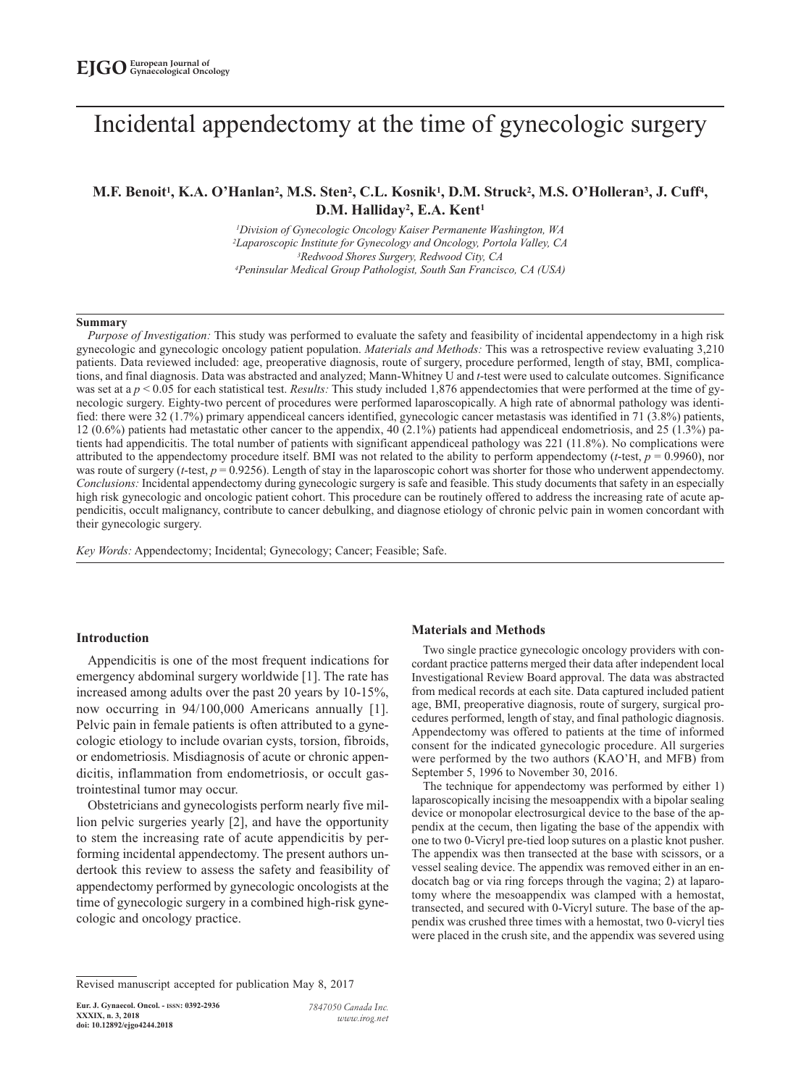# Incidental appendectomy at the time of gynecologic surgery

# **M.F. Benoit1, K.A. O'Hanlan2, M.S. Sten2, C.L. Kosnik1, D.M. Struck2, M.S. O'Holleran3, J. Cuff4, D.M. Halliday2, E.A. Kent1**

*1Division of Gynecologic Oncology Kaiser Permanente Washington, WA 2Laparoscopic Institute for Gynecology and Oncology, Portola Valley, CA 3Redwood Shores Surgery, Redwood City, CA 4Peninsular Medical Group Pathologist, South San Francisco, CA (USA)*

#### **Summary**

*Purpose of Investigation:* This study was performed to evaluate the safety and feasibility of incidental appendectomy in a high risk gynecologic and gynecologic oncology patient population. *Materials and Methods:* This was a retrospective review evaluating 3,210 patients. Data reviewed included: age, preoperative diagnosis, route of surgery, procedure performed, length of stay, BMI, complications, and final diagnosis. Data was abstracted and analyzed; Mann-Whitney U and *t*-test were used to calculate outcomes. Significance was set at a  $p < 0.05$  for each statistical test. *Results:* This study included 1,876 appendectomies that were performed at the time of gynecologic surgery. Eighty-two percent of procedures were performed laparoscopically. A high rate of abnormal pathology was identified: there were 32 (1.7%) primary appendiceal cancers identified, gynecologic cancer metastasis was identified in 71 (3.8%) patients, 12 (0.6%) patients had metastatic other cancer to the appendix, 40 (2.1%) patients had appendiceal endometriosis, and 25 (1.3%) patients had appendicitis. The total number of patients with significant appendiceal pathology was 221 (11.8%). No complications were attributed to the appendectomy procedure itself. BMI was not related to the ability to perform appendectomy (*t*-test, *p* = 0.9960), nor was route of surgery (*t*-test,  $p = 0.9256$ ). Length of stay in the laparoscopic cohort was shorter for those who underwent appendectomy. *Conclusions:* Incidental appendectomy during gynecologic surgery is safe and feasible. This study documents that safety in an especially high risk gynecologic and oncologic patient cohort. This procedure can be routinely offered to address the increasing rate of acute appendicitis, occult malignancy, contribute to cancer debulking, and diagnose etiology of chronic pelvic pain in women concordant with their gynecologic surgery.

*Key Words:* Appendectomy; Incidental; Gynecology; Cancer; Feasible; Safe.

## **Introduction**

Appendicitis is one of the most frequent indications for emergency abdominal surgery worldwide [1]. The rate has increased among adults over the past 20 years by 10-15%, now occurring in 94/100,000 Americans annually [1]. Pelvic pain in female patients is often attributed to a gynecologic etiology to include ovarian cysts, torsion, fibroids, or endometriosis. Misdiagnosis of acute or chronic appendicitis, inflammation from endometriosis, or occult gastrointestinal tumor may occur.

Obstetricians and gynecologists perform nearly five million pelvic surgeries yearly [2], and have the opportunity to stem the increasing rate of acute appendicitis by performing incidental appendectomy. The present authors undertook this review to assess the safety and feasibility of appendectomy performed by gynecologic oncologists at the time of gynecologic surgery in a combined high-risk gynecologic and oncology practice.

#### **Materials and Methods**

Two single practice gynecologic oncology providers with concordant practice patterns merged their data after independent local Investigational Review Board approval. The data was abstracted from medical records at each site. Data captured included patient age, BMI, preoperative diagnosis, route of surgery, surgical procedures performed, length of stay, and final pathologic diagnosis. Appendectomy was offered to patients at the time of informed consent for the indicated gynecologic procedure. All surgeries were performed by the two authors (KAO'H, and MFB) from September 5, 1996 to November 30, 2016.

The technique for appendectomy was performed by either 1) laparoscopically incising the mesoappendix with a bipolar sealing device or monopolar electrosurgical device to the base of the appendix at the cecum, then ligating the base of the appendix with one to two 0-Vicryl pre-tied loop sutures on a plastic knot pusher. The appendix was then transected at the base with scissors, or a vessel sealing device. The appendix was removed either in an endocatch bag or via ring forceps through the vagina; 2) at laparotomy where the mesoappendix was clamped with a hemostat, transected, and secured with 0-Vicryl suture. The base of the appendix was crushed three times with a hemostat, two 0-vicryl ties were placed in the crush site, and the appendix was severed using

Revised manuscript accepted for publication May 8, 2017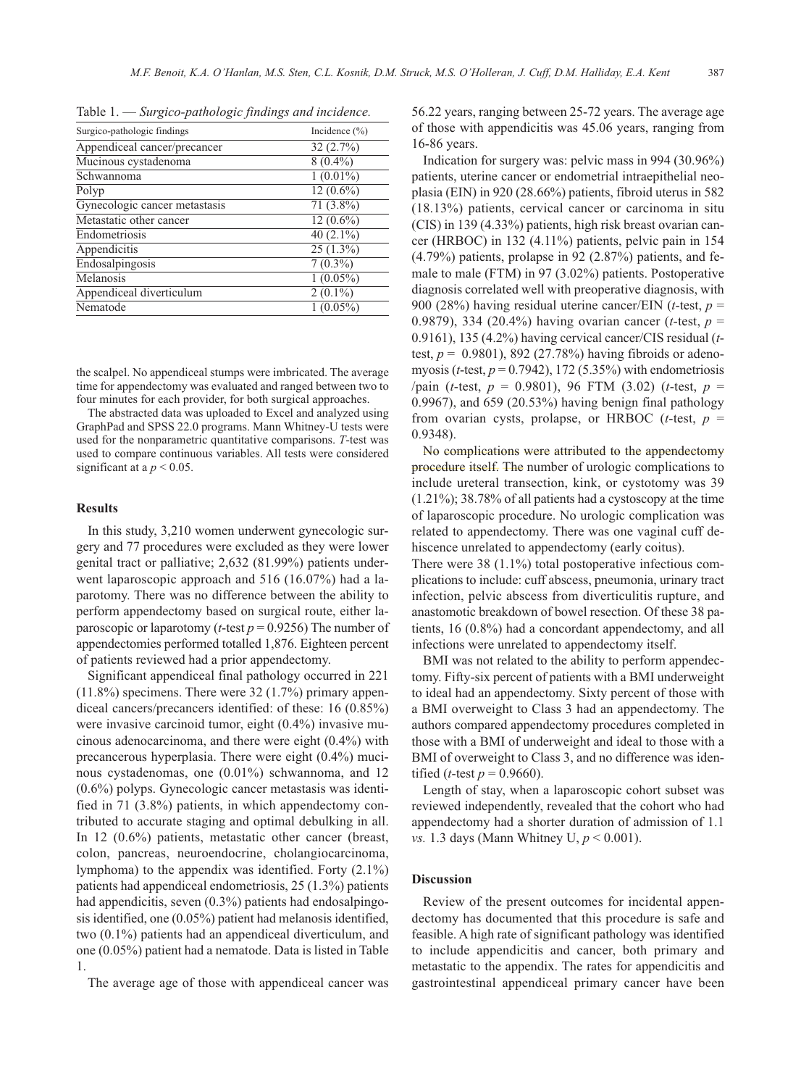Table 1. — *Surgico-pathologic findings and incidence.*

| Surgico-pathologic findings   | Incidence $(\% )$ |
|-------------------------------|-------------------|
| Appendiceal cancer/precancer  | 32(2.7%)          |
| Mucinous cystadenoma          | $8(0.4\%)$        |
| Schwannoma                    | $1(0.01\%)$       |
| Polyp                         | $12(0.6\%)$       |
| Gynecologic cancer metastasis | $71(3.8\%)$       |
| Metastatic other cancer       | $12(0.6\%)$       |
| Endometriosis                 | 40 $(2.1\%)$      |
| Appendicitis                  | $25(1.3\%)$       |
| Endosalpingosis               | $7(0.3\%)$        |
| Melanosis                     | $1(0.05\%)$       |
| Appendiceal diverticulum      | $2(0.1\%)$        |
| Nematode                      | $1(0.05\%)$       |

the scalpel. No appendiceal stumps were imbricated. The average time for appendectomy was evaluated and ranged between two to four minutes for each provider, for both surgical approaches.

The abstracted data was uploaded to Excel and analyzed using GraphPad and SPSS 22.0 programs. Mann Whitney-U tests were used for the nonparametric quantitative comparisons. *T*-test was used to compare continuous variables. All tests were considered significant at a  $p < 0.05$ .

## **Results**

In this study, 3,210 women underwent gynecologic surgery and 77 procedures were excluded as they were lower genital tract or palliative; 2,632 (81.99%) patients underwent laparoscopic approach and 516 (16.07%) had a laparotomy. There was no difference between the ability to perform appendectomy based on surgical route, either laparoscopic or laparotomy (*t*-test *p* = 0.9256) The number of appendectomies performed totalled 1,876. Eighteen percent of patients reviewed had a prior appendectomy.

Significant appendiceal final pathology occurred in 221 (11.8%) specimens. There were 32 (1.7%) primary appendiceal cancers/precancers identified: of these: 16 (0.85%) were invasive carcinoid tumor, eight (0.4%) invasive mucinous adenocarcinoma, and there were eight (0.4%) with precancerous hyperplasia. There were eight (0.4%) mucinous cystadenomas, one (0.01%) schwannoma, and 12 (0.6%) polyps. Gynecologic cancer metastasis was identified in 71 (3.8%) patients, in which appendectomy contributed to accurate staging and optimal debulking in all. In 12 (0.6%) patients, metastatic other cancer (breast, colon, pancreas, neuroendocrine, cholangiocarcinoma, lymphoma) to the appendix was identified. Forty (2.1%) patients had appendiceal endometriosis, 25 (1.3%) patients had appendicitis, seven (0.3%) patients had endosalpingosis identified, one (0.05%) patient had melanosis identified, two (0.1%) patients had an appendiceal diverticulum, and one (0.05%) patient had a nematode. Data is listed in Table 1.

The average age of those with appendiceal cancer was

56.22 years, ranging between 25-72 years. The average age of those with appendicitis was 45.06 years, ranging from 16-86 years.

Indication for surgery was: pelvic mass in 994 (30.96%) patients, uterine cancer or endometrial intraepithelial neoplasia (EIN) in 920 (28.66%) patients, fibroid uterus in 582 (18.13%) patients, cervical cancer or carcinoma in situ (CIS) in 139 (4.33%) patients, high risk breast ovarian cancer (HRBOC) in 132 (4.11%) patients, pelvic pain in 154 (4.79%) patients, prolapse in 92 (2.87%) patients, and female to male (FTM) in 97 (3.02%) patients. Postoperative diagnosis correlated well with preoperative diagnosis, with 900 (28%) having residual uterine cancer/EIN (*t*-test, *p* = 0.9879), 334 (20.4%) having ovarian cancer (*t*-test, *p* = 0.9161), 135 (4.2%) having cervical cancer/CIS residual (*t*test,  $p = 0.9801$ ), 892 (27.78%) having fibroids or adenomyosis (*t*-test,  $p = 0.7942$ ), 172 (5.35%) with endometriosis /pain (*t*-test, *p* = 0.9801), 96 FTM (3.02) (*t*-test, *p* = 0.9967), and 659 (20.53%) having benign final pathology from ovarian cysts, prolapse, or HRBOC (*t*-test, *p* = 0.9348).

No complications were attributed to the appendectomy procedure itself. The number of urologic complications to include ureteral transection, kink, or cystotomy was 39 (1.21%); 38.78% of all patients had a cystoscopy at the time of laparoscopic procedure. No urologic complication was related to appendectomy. There was one vaginal cuff dehiscence unrelated to appendectomy (early coitus).

There were 38 (1.1%) total postoperative infectious complications to include: cuff abscess, pneumonia, urinary tract infection, pelvic abscess from diverticulitis rupture, and anastomotic breakdown of bowel resection. Of these 38 patients, 16 (0.8%) had a concordant appendectomy, and all infections were unrelated to appendectomy itself.

BMI was not related to the ability to perform appendectomy. Fifty-six percent of patients with a BMI underweight to ideal had an appendectomy. Sixty percent of those with a BMI overweight to Class 3 had an appendectomy. The authors compared appendectomy procedures completed in those with a BMI of underweight and ideal to those with a BMI of overweight to Class 3, and no difference was identified (*t*-test  $p = 0.9660$ ).

Length of stay, when a laparoscopic cohort subset was reviewed independently, revealed that the cohort who had appendectomy had a shorter duration of admission of 1.1 *vs.* 1.3 days (Mann Whitney U, *p* < 0.001).

# **Discussion**

Review of the present outcomes for incidental appendectomy has documented that this procedure is safe and feasible. A high rate of significant pathology was identified to include appendicitis and cancer, both primary and metastatic to the appendix. The rates for appendicitis and gastrointestinal appendiceal primary cancer have been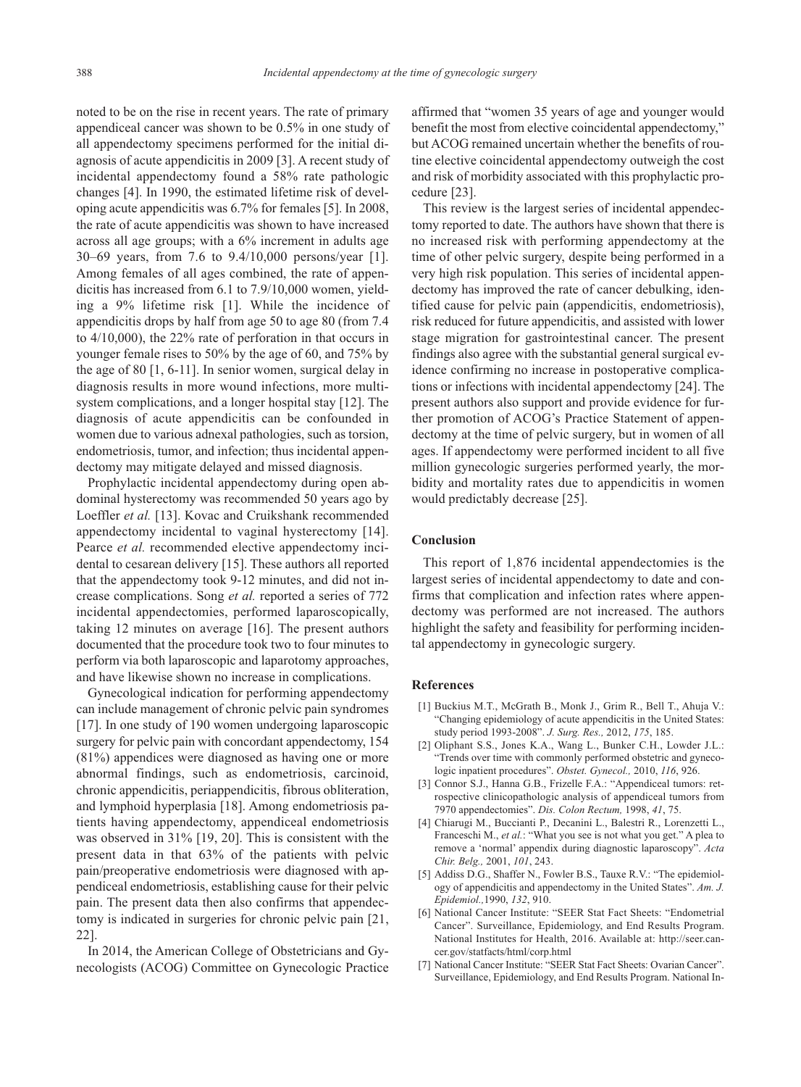noted to be on the rise in recent years. The rate of primary appendiceal cancer was shown to be 0.5% in one study of all appendectomy specimens performed for the initial diagnosis of acute appendicitis in 2009 [3]. A recent study of incidental appendectomy found a 58% rate pathologic changes [4]. In 1990, the estimated lifetime risk of developing acute appendicitis was 6.7% for females [5]. In 2008, the rate of acute appendicitis was shown to have increased across all age groups; with a 6% increment in adults age 30–69 years, from 7.6 to 9.4/10,000 persons/year [1]. Among females of all ages combined, the rate of appendicitis has increased from 6.1 to 7.9/10,000 women, yielding a 9% lifetime risk [1]. While the incidence of appendicitis drops by half from age 50 to age 80 (from 7.4 to 4/10,000), the 22% rate of perforation in that occurs in younger female rises to 50% by the age of 60, and 75% by the age of 80 [1, 6-11]. In senior women, surgical delay in diagnosis results in more wound infections, more multisystem complications, and a longer hospital stay [12]. The diagnosis of acute appendicitis can be confounded in women due to various adnexal pathologies, such as torsion, endometriosis, tumor, and infection; thus incidental appendectomy may mitigate delayed and missed diagnosis.

Prophylactic incidental appendectomy during open abdominal hysterectomy was recommended 50 years ago by Loeffler et al. [13]. Kovac and Cruikshank recommended appendectomy incidental to vaginal hysterectomy [14]. Pearce *et al.* recommended elective appendectomy incidental to cesarean delivery [15]. These authors all reported that the appendectomy took 9-12 minutes, and did not increase complications. Song *et al.* reported a series of 772 incidental appendectomies, performed laparoscopically, taking 12 minutes on average [16]. The present authors documented that the procedure took two to four minutes to perform via both laparoscopic and laparotomy approaches, and have likewise shown no increase in complications.

Gynecological indication for performing appendectomy can include management of chronic pelvic pain syndromes [17]. In one study of 190 women undergoing laparoscopic surgery for pelvic pain with concordant appendectomy, 154 (81%) appendices were diagnosed as having one or more abnormal findings, such as endometriosis, carcinoid, chronic appendicitis, periappendicitis, fibrous obliteration, and lymphoid hyperplasia [18]. Among endometriosis patients having appendectomy, appendiceal endometriosis was observed in 31% [19, 20]. This is consistent with the present data in that 63% of the patients with pelvic pain/preoperative endometriosis were diagnosed with appendiceal endometriosis, establishing cause for their pelvic pain. The present data then also confirms that appendectomy is indicated in surgeries for chronic pelvic pain [21, 22].

In 2014, the American College of Obstetricians and Gynecologists (ACOG) Committee on Gynecologic Practice affirmed that "women 35 years of age and younger would benefit the most from elective coincidental appendectomy," but ACOG remained uncertain whether the benefits of routine elective coincidental appendectomy outweigh the cost and risk of morbidity associated with this prophylactic procedure [23].

This review is the largest series of incidental appendectomy reported to date. The authors have shown that there is no increased risk with performing appendectomy at the time of other pelvic surgery, despite being performed in a very high risk population. This series of incidental appendectomy has improved the rate of cancer debulking, identified cause for pelvic pain (appendicitis, endometriosis), risk reduced for future appendicitis, and assisted with lower stage migration for gastrointestinal cancer. The present findings also agree with the substantial general surgical evidence confirming no increase in postoperative complications or infections with incidental appendectomy [24]. The present authors also support and provide evidence for further promotion of ACOG's Practice Statement of appendectomy at the time of pelvic surgery, but in women of all ages. If appendectomy were performed incident to all five million gynecologic surgeries performed yearly, the morbidity and mortality rates due to appendicitis in women would predictably decrease [25].

# **Conclusion**

This report of 1,876 incidental appendectomies is the largest series of incidental appendectomy to date and confirms that complication and infection rates where appendectomy was performed are not increased. The authors highlight the safety and feasibility for performing incidental appendectomy in gynecologic surgery.

# **References**

- [1] Buckius M.T., McGrath B., Monk J., Grim R., Bell T., Ahuja V.: "Changing epidemiology of acute appendicitis in the United States: study period 1993-2008". *J. Surg. Res.,* 2012, *175*, 185.
- [2] Oliphant S.S., Jones K.A., Wang L., Bunker C.H., Lowder J.L.: "Trends over time with commonly performed obstetric and gynecologic inpatient procedures". *Obstet. Gynecol.,* 2010, *116*, 926.
- [3] Connor S.J., Hanna G.B., Frizelle F.A.: "Appendiceal tumors: retrospective clinicopathologic analysis of appendiceal tumors from 7970 appendectomies". *Dis. Colon Rectum,* 1998, *41*, 75.
- [4] Chiarugi M., Buccianti P., Decanini L., Balestri R., Lorenzetti L., Franceschi M., *et al.*: "What you see is not what you get." A plea to remove a 'normal' appendix during diagnostic laparoscopy". *Acta Chir. Belg.,* 2001, *101*, 243.
- [5] Addiss D.G., Shaffer N., Fowler B.S., Tauxe R.V.: "The epidemiology of appendicitis and appendectomy in the United States". *Am. J. Epidemiol.,*1990, *132*, 910.
- [6] National Cancer Institute: "SEER Stat Fact Sheets: "Endometrial Cancer". Surveillance, Epidemiology, and End Results Program. National Institutes for Health, 2016. Available at: http://seer.cancer.gov/statfacts/html/corp.html
- [7] National Cancer Institute: "SEER Stat Fact Sheets: Ovarian Cancer". Surveillance, Epidemiology, and End Results Program. National In-